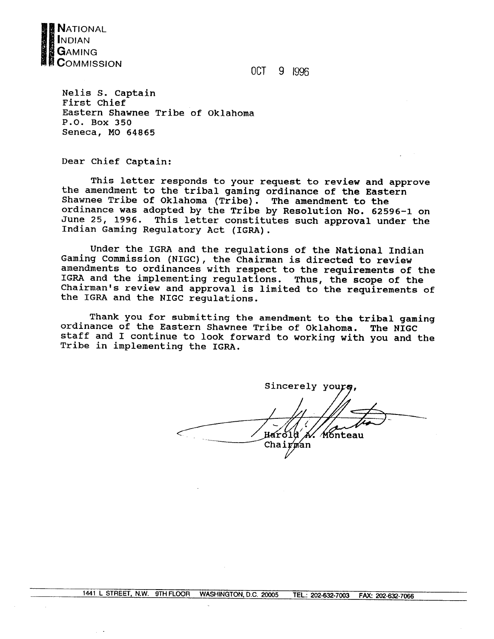

OCT 9 1996

**Nelis S. Captain First Chief Eastern Shawnee Tribe of Oklahoma P.O. Box 350 Seneca, MO 64865** 

**Dear Chief captain:** 

**This letter responds to your request to review and approve the amendment to the tribal gaming ordinance of the Eastern Shawnee Tribe of Oklahoma (Tribe). The amendment to the ordinance was adopted by the Tribe by Resolution No. 62596-1 on June 25, 1996. This letter constitutes such approval under the Indian Gaming Regulatory Act (IGRA).** 

**Under the IGRA and the regulations of the National Indian Gaming Commission (NIGC), the Chairman is directed to review amendments to ordinances with respect to the requirements of the IGRA and the implementing regulations. Thus, the scope of the Chairman's review and approval is limited to the requirements of the IGRA and the NIGC regulations.** 

**Thank you for submitting the amendment to the tribal gaming ordinance of the Eastern Shawnee Tribe of Oklahoma. The NIGC staff and I continue to look forward to working with you and the Tribe in implementing the IGRA.** 

Sincerely yours A. Mónteau Harold Chairman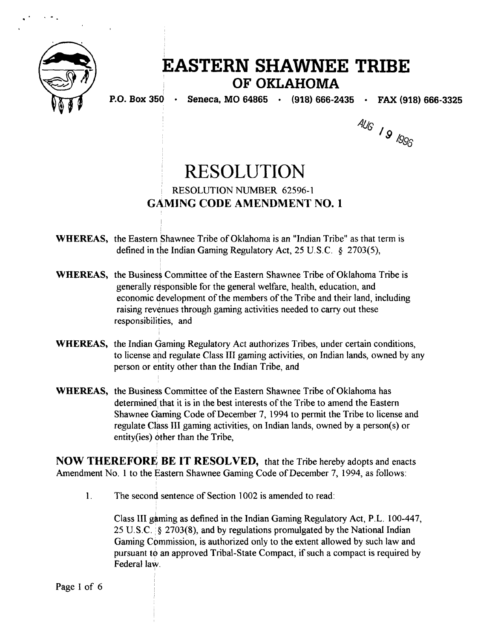

# **EASTERN SHAWNEE TRIBE OF OKLAHOMA**

**P.O. Box 350 Seneca, MO 64865 (918) 666-2435 FAX (918) 666-3325** 

AUG 19 1996

# RESOLUTION RESOLUTION NUMBER 62596-1 **GAMING CODE AMENDMENT NO. 1**

**WHEREAS,** the Eastern Shawnee Tribe of Oklahoma is an "Indian Tribe" as that term is defined in the Indian Gaming Regulatory Act, 25 U.S.C. **4** 2703(5),

- **WHEREAS,** the Business Committee of the Eastern Shawnee Tribe of Oklahoma Tribe is generally responsible for the general welfare, health, education, and economic development of the members of the Tribe and their land, including raising revenues through gaming activities needed to carry out these responsibilities, and
- **WHEREAS,** the Indian Gaming Regulatory Act authorizes Tribes, under certain conditions, to license and regulate Class 111 garning activities, on Indian lands, owned by any person or entity other than the Indian Tribe, and
- **WHEREAS,** the Business Committee of the Eastern Shawnee Tribe of Oklahoma has determined that it is in the best interests of the Tribe to amend the Eastern Shawnee Gaming Code of December 7, 1994 to permit the Tribe to license and regulate Class 111 gaming activities, on Indian lands, owned by a person(s) or entity(ies) other than the Tribe,

**NOW THEREFORE** BE **IT RESOLVED,** that the Tribe hereby adopts and enacts Amendment No. 1 to the Eastern Shawnee Gaming Code of December 7, 1994, as follows:

1. The second sentence of Section 1002 is amended to read:

Class I11 gaming as defined in the Indian Gaming Regulatory Act, P.L. 100-447, 25 U.S.C. : **9** 2703(8), and by regulations promulgated by the National Indian Gaming Commission, is authorized only to the extent allowed by such law and pursuant to an approved Tribal-State Compact, if such a compact is required by Federal law.

Page I of 6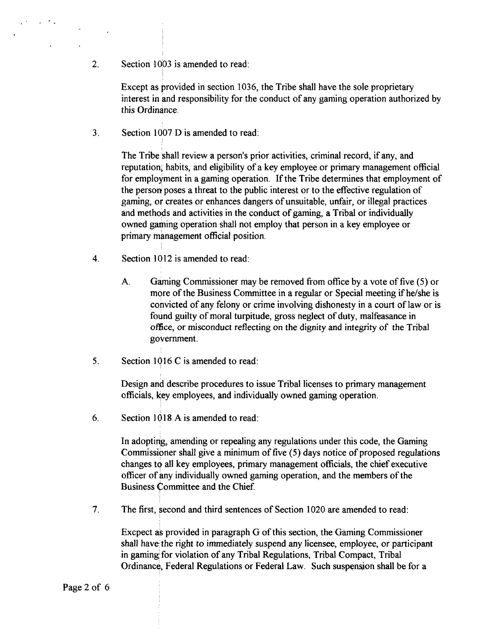**2.** Section **10'03** is amended to read:

Except as provided in section 1036, the Tribe shall have the sole proprietary interest in and responsibility for the conduct of any gaming operation authorized by this Ordinance.

**3.** Section 1007 D is amended to read:

The Tribe shall review a person's prior activities, criminal record, if any, and reputation; habits, and eligibility of a key employee or primary management official for employment in a gaming operation. If the Tribe determines that employment of the person poses a threat to the public interest or to the effective regulation of gaming, or creates or enhances dangers of unsuitable, unfair, or illegal practices and methods and activities in the conduct of gaming, a Tribal or individually owned gaming operation shall not employ that person in a key employee or primary management official position.

- **4.** Section 10 12 is amended to read:
	- A. Gaming Commissioner may be removed from office by a vote of five (5) or more of the Business Committee in a regular or Special meeting if he/she is convicted of any felony or crime involving dishonesty in a court of law or is found guilty of moral turpitude, gross neglect of duty, malfeasance in office, or misconduct reflecting on the dignity and integrity of the Tribal government.
- **5.** Section 10 16 C is amended to read:

Design and describe procedures to issue Tribal licenses to primary management officials, gey employees, and individually owned gaming operation.

6. Section 1018 A is amended to read:

In adopting, amending or repealing any regulations under this code, the Gaming Commissioner shall give a minimum of five (5) days notice of proposed regulations changes to all key employees, primary management officials, the chief executive officer of any individually owned gaming operation, and the members of the Business Committee and the Chief.

7. The first, second and third sentences of Section 1020 are amended to read:

Excpect as provided in paragraph G of this section, the Gaming Commissioner shall have the right to immediately suspend any licensee, employee, or participant in gaming for violation of any Tribal Regulations, Tribal Compact, Tribal Ordinance, Federal Regulations or Federal Law. Such suspension shall be for a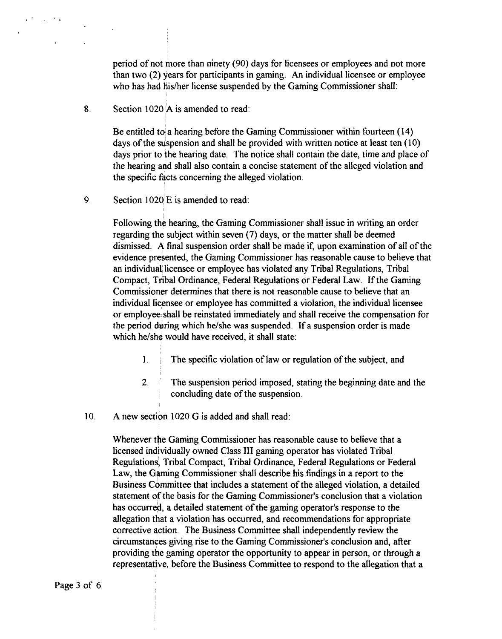period of not more than ninety (90) days for licensees or employees and not more than two (2) years for participants in gaming. An individual licensee or employee who has had his/her license suspended by the Gaming Commissioner shall:

**8.** Section 1020 A is amended to read:

Be entitled to a hearing before the Gaming Commissioner within fourteen  $(14)$ days of the suspension and shall be provided with written notice at least ten (10) days prior to the hearing date. The notice shall contain the date, time and place of the hearing and shall also contain a concise statement of the alleged violation and the specific facts concerning the alleged violation.

9. Section  $1020'E$  is amended to read:

Following the hearing, the Gaming Commissioner shall issue in writing an order regarding the subject within seven (7) days, or the matter shall be deemed dismissed. A final suspension order shall be made if, upon examination of all of the evidence presented, the Gaming Commissioner has reasonable cause to believe that an individual licensee or employee has violated any Tribal Regulations, Tribal Compact, Tribal Ordinance, Federal Regulations or Federal Law. If the Gaming Commissioner determines that there is not reasonable cause to believe that an individual licensee or employee has committed a violation, the individual licensee or employee shall be reinstated immediately and shall receive the compensation for the period during which helshe was suspended. If a suspension order is made which he/she would have received, it shall state:

- I. I The specific violation of law or regulation of the subject, and
- **2.** ' The suspension period imposed, stating the beginning date and the concluding date of the suspension.
- 10. A new section 1020 G is added and shall read:

Whenever the Gaming Commissioner has reasonable cause to believe that a licensed individually owned Class **I11** gaming operator has violated Tribal Regulations, Tribal Compact, Tribal Ordinance, Federal Regulations or Federal Law, the Gaming Commissioner shall describe his findings in a report to the Business Committee that includes a statement of the alleged violation, a detailed statement of the basis for the Gaming Commissioner's conclusion that a violation has occurred, a detailed statement of the gaming operator's response to the allegation that a violation has occurred, and recommendations for appropriate corrective action. The Business Committee shall independently review the circumstances giving rise to the Gaming Commissioner's conclusion and, after providing the gaming operator the opportunity to appear in person, or through a representative, before the Business Committee to respond to the allegation that a

Page 3 of 6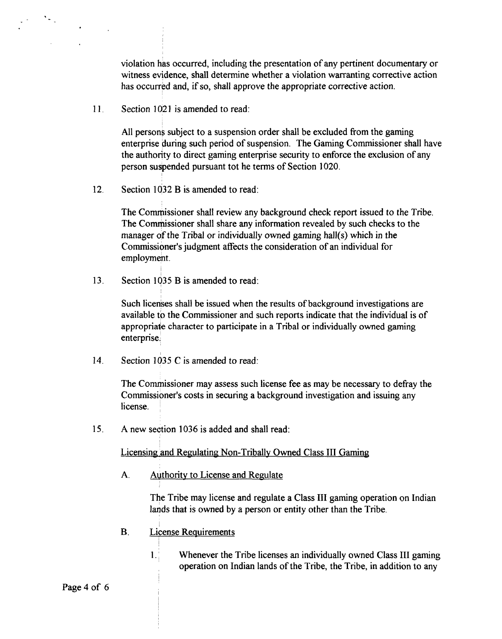violation has occurred, including the presentation of any pertinent documentary or witness evidence, shall determine whether a violation warranting corrective action has occurred and, if so, shall approve the appropriate corrective action.

11 **Section 1021 is amended to read:** 

All persons subject to a suspension order shall be excluded from the gaming enterprise during such period of suspension. The Gaming Commissioner shall have the authority to direct gaming enterprise security to enforce the exclusion of any person suspended pursuant tot he terms of Section 1020.

12. Section 1032 B is amended to read:

The Commissioner shall review any background check report issued to the Tribe. The Commissioner shall share any information revealed by such checks to the manager of the Tribal or individually owned gaming hall(s) which in the Commissioner's judgment affects the consideration of an individual for employment.

13. Section 1035 B is amended to read:

Such licenses shall be issued when the results of background investigations are available to the Commissioner and such reports indicate that the individual is of appropriaie character to participate in a Tribal or individually owned gaming enterprise.

14. Section 1035 C is amended to read:

The Commissioner may assess such license fee as may be necessary to defray the Commissioner's costs in securing a background investigation and issuing any license.

**15.** A new section 1036 is added and shall read:

Licensing and Regulating Non-Tribally Owned Class III Gaming

A. Authority to License and Regulate

The Tribe may license and regulate a Class **I11** gaming operation on Indian lands that is owned by a person or entity other than the Tribe.

- B. License Requirements
	- 1. Whenever the Tribe licenses an individually owned Class 111 gaming operation on Indian lands of the Tribe, the Tribe, in addition to any

Page 4 of 6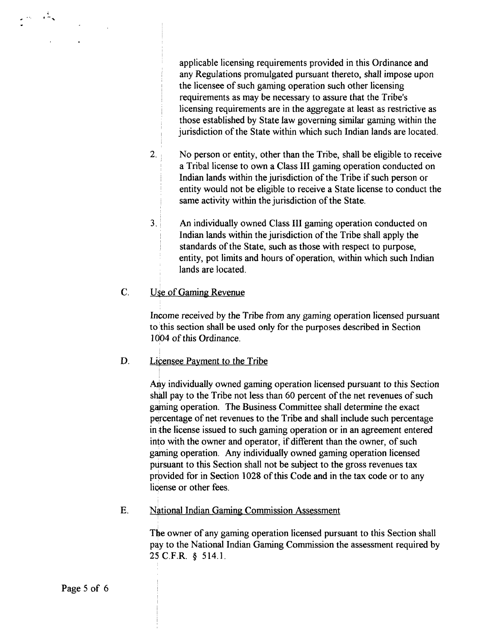applicable licensing requirements provided in this Ordinance and any Regulations promulgated pursuant thereto, shall impose upon the licensee of such gaming operation such other licensing requirements as may be necessary to assure that the Tribe's licensing requirements are in the aggregate at least as restrictive as those established by State law governing similar gaming within the jurisdiction of the State within which such Indian lands are located.

- 2. No person or entity, other than the Tribe, shall be eligible to receive a Tribal license to own a Class III gaming operation conducted on Indian lands within the jurisdiction of the Tribe if such person or entity would not be eligible to receive a State license to conduct the same activity within the jurisdiction of the State.
- **3. An** individually owned Class I11 gaming operation conducted on Indian lands within the jurisdiction of the Tribe shall apply the standards of the State, such as those with respect to purpose, entity, pot limits and hours of operation, within which such Indian lands are located.

## C. Use of Gaming Revenue

Income received by the Tribe from any gaming operation licensed pursuant **to** 'this **section shall** be used only for the purposes described in Section **<sup>1</sup>**do4 of this Ordinance.

### D. Licensee Payment to the Tribe

Any individually owned gaming operation licensed pursuant to this Section shall pay to the Tribe not less than 60 percent of the net revenues of such gaming operation. The Business Committee shall determine the exact percentage of net revenues to the Tribe and shall include such percentage in the license issued to such gaming operation or in an agreement entered into with the owner and operator, if different than the owner, of such gaming operation. Any individually owned gaming operation licensed pursuant to this Section shall not be subject to the gross revenues tax provided for in Section 1028 of this Code and in the tax code or to any license or other fees.

E. National Indian Gaming Commission Assessment

The owner of any gaming operation licensed pursuant to this Section shall pay to the National Indian Gaming Commission the assessment required by 25 C.F.R. § 514.1.